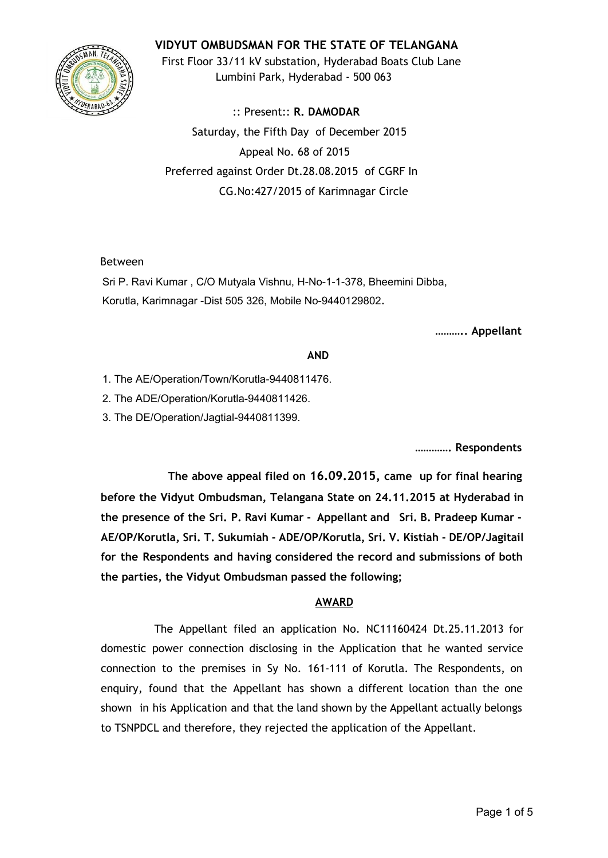## **VIDYUT OMBUDSMAN FOR THE STATE OF TELANGANA**



First Floor 33/11 kV substation, Hyderabad Boats Club Lane Lumbini Park, Hyderabad - 500 063

:: Present:: **R. DAMODAR** Saturday, the Fifth Day of December 2015 Appeal No. 68 of 2015 Preferred against Order Dt.28.08.2015 of CGRF In CG.No:427/2015 of Karimnagar Circle

### Between

Sri P. Ravi Kumar, C/O Mutyala Vishnu, H-No-1-1-378, Bheemini Dibba, Korutla, Karimnagar -Dist 505 326, Mobile No-9440129802.

**……….. Appellant**

### **AND**

- 1. The AE/Operation/Town/Korutla-9440811476.
- 2. The ADE/Operation/Korutla-9440811426.
- 3. The DE/Operation/Jagtial-9440811399.

**…………. Respondents**

**The above appeal filed on 16.09.2015, came up for final hearing before the Vidyut Ombudsman, Telangana State on 24.11.2015 at Hyderabad in the presence of the Sri. P. Ravi Kumar - Appellant and Sri. B. Pradeep Kumar - AE/OP/Korutla, Sri. T. Sukumiah - ADE/OP/Korutla, Sri. V. Kistiah - DE/OP/Jagitail for the Respondents and having considered the record and submissions of both the parties, the Vidyut Ombudsman passed the following;**

### **AWARD**

The Appellant filed an application No. NC11160424 Dt.25.11.2013 for domestic power connection disclosing in the Application that he wanted service connection to the premises in Sy No. 161-111 of Korutla. The Respondents, on enquiry, found that the Appellant has shown a different location than the one shown in his Application and that the land shown by the Appellant actually belongs to TSNPDCL and therefore, they rejected the application of the Appellant.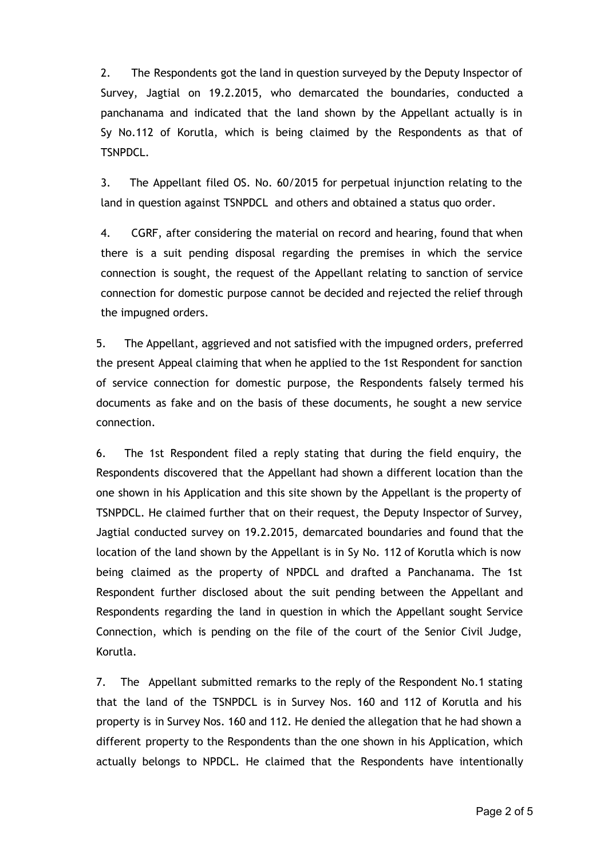2. The Respondents got the land in question surveyed by the Deputy Inspector of Survey, Jagtial on 19.2.2015, who demarcated the boundaries, conducted a panchanama and indicated that the land shown by the Appellant actually is in Sy No.112 of Korutla, which is being claimed by the Respondents as that of TSNPDCL.

3. The Appellant filed OS. No. 60/2015 for perpetual injunction relating to the land in question against TSNPDCL and others and obtained a status quo order.

4. CGRF, after considering the material on record and hearing, found that when there is a suit pending disposal regarding the premises in which the service connection is sought, the request of the Appellant relating to sanction of service connection for domestic purpose cannot be decided and rejected the relief through the impugned orders.

5. The Appellant, aggrieved and not satisfied with the impugned orders, preferred the present Appeal claiming that when he applied to the 1st Respondent for sanction of service connection for domestic purpose, the Respondents falsely termed his documents as fake and on the basis of these documents, he sought a new service connection.

6. The 1st Respondent filed a reply stating that during the field enquiry, the Respondents discovered that the Appellant had shown a different location than the one shown in his Application and this site shown by the Appellant is the property of TSNPDCL. He claimed further that on their request, the Deputy Inspector of Survey, Jagtial conducted survey on 19.2.2015, demarcated boundaries and found that the location of the land shown by the Appellant is in Sy No. 112 of Korutla which is now being claimed as the property of NPDCL and drafted a Panchanama. The 1st Respondent further disclosed about the suit pending between the Appellant and Respondents regarding the land in question in which the Appellant sought Service Connection, which is pending on the file of the court of the Senior Civil Judge, Korutla.

7. The Appellant submitted remarks to the reply of the Respondent No.1 stating that the land of the TSNPDCL is in Survey Nos. 160 and 112 of Korutla and his property is in Survey Nos. 160 and 112. He denied the allegation that he had shown a different property to the Respondents than the one shown in his Application, which actually belongs to NPDCL. He claimed that the Respondents have intentionally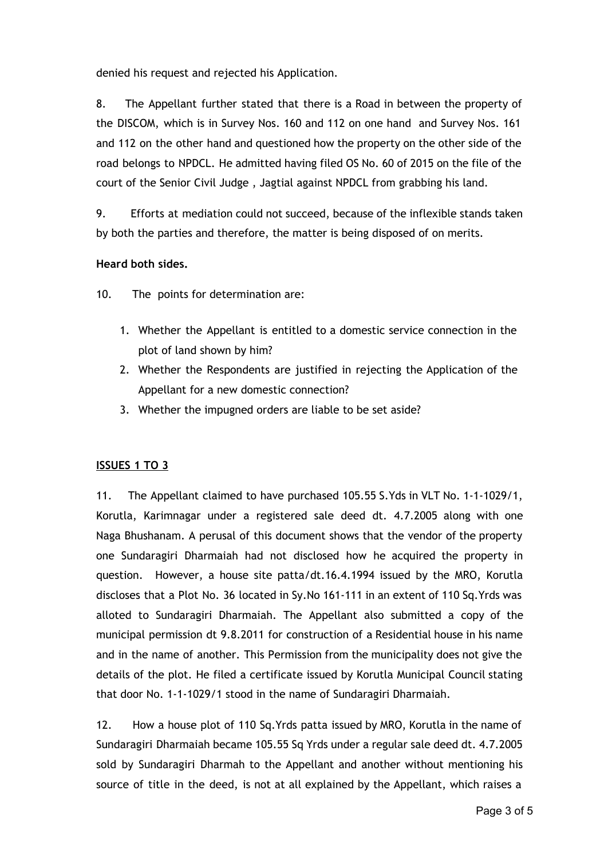denied his request and rejected his Application.

8. The Appellant further stated that there is a Road in between the property of the DISCOM, which is in Survey Nos. 160 and 112 on one hand and Survey Nos. 161 and 112 on the other hand and questioned how the property on the other side of the road belongs to NPDCL. He admitted having filed OS No. 60 of 2015 on the file of the court of the Senior Civil Judge , Jagtial against NPDCL from grabbing his land.

9. Efforts at mediation could not succeed, because of the inflexible stands taken by both the parties and therefore, the matter is being disposed of on merits.

# **Heard both sides.**

10. The points for determination are:

- 1. Whether the Appellant is entitled to a domestic service connection in the plot of land shown by him?
- 2. Whether the Respondents are justified in rejecting the Application of the Appellant for a new domestic connection?
- 3. Whether the impugned orders are liable to be set aside?

### **ISSUES 1 TO 3**

11. The Appellant claimed to have purchased 105.55 S.Yds in VLT No. 1-1-1029/1, Korutla, Karimnagar under a registered sale deed dt. 4.7.2005 along with one Naga Bhushanam. A perusal of this document shows that the vendor of the property one Sundaragiri Dharmaiah had not disclosed how he acquired the property in question. However, a house site patta/dt.16.4.1994 issued by the MRO, Korutla discloses that a Plot No. 36 located in Sy.No 161-111 in an extent of 110 Sq.Yrds was alloted to Sundaragiri Dharmaiah. The Appellant also submitted a copy of the municipal permission dt 9.8.2011 for construction of a Residential house in his name and in the name of another. This Permission from the municipality does not give the details of the plot. He filed a certificate issued by Korutla Municipal Council stating that door No. 1-1-1029/1 stood in the name of Sundaragiri Dharmaiah.

12. How a house plot of 110 Sq.Yrds patta issued by MRO, Korutla in the name of Sundaragiri Dharmaiah became 105.55 Sq Yrds under a regular sale deed dt. 4.7.2005 sold by Sundaragiri Dharmah to the Appellant and another without mentioning his source of title in the deed, is not at all explained by the Appellant, which raises a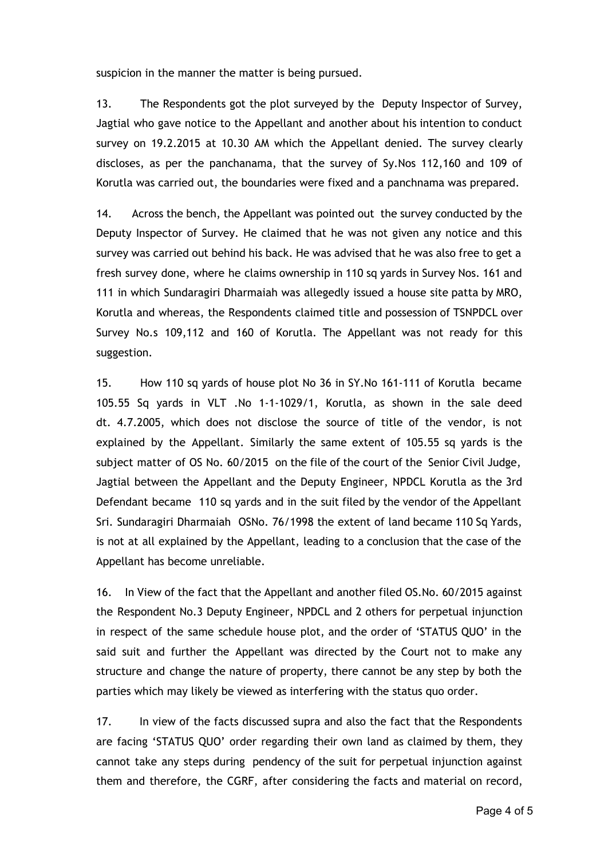suspicion in the manner the matter is being pursued.

13. The Respondents got the plot surveyed by the Deputy Inspector of Survey, Jagtial who gave notice to the Appellant and another about his intention to conduct survey on 19.2.2015 at 10.30 AM which the Appellant denied. The survey clearly discloses, as per the panchanama, that the survey of Sy.Nos 112,160 and 109 of Korutla was carried out, the boundaries were fixed and a panchnama was prepared.

14. Across the bench, the Appellant was pointed out the survey conducted by the Deputy Inspector of Survey. He claimed that he was not given any notice and this survey was carried out behind his back. He was advised that he was also free to get a fresh survey done, where he claims ownership in 110 sq yards in Survey Nos. 161 and 111 in which Sundaragiri Dharmaiah was allegedly issued a house site patta by MRO, Korutla and whereas, the Respondents claimed title and possession of TSNPDCL over Survey No.s 109,112 and 160 of Korutla. The Appellant was not ready for this suggestion.

15. How 110 sq yards of house plot No 36 in SY.No 161-111 of Korutla became 105.55 Sq yards in VLT .No 1-1-1029/1, Korutla, as shown in the sale deed dt. 4.7.2005, which does not disclose the source of title of the vendor, is not explained by the Appellant. Similarly the same extent of 105.55 sq yards is the subject matter of OS No. 60/2015 on the file of the court of the Senior Civil Judge, Jagtial between the Appellant and the Deputy Engineer, NPDCL Korutla as the 3rd Defendant became 110 sq yards and in the suit filed by the vendor of the Appellant Sri. Sundaragiri Dharmaiah OSNo. 76/1998 the extent of land became 110 Sq Yards, is not at all explained by the Appellant, leading to a conclusion that the case of the Appellant has become unreliable.

16. In View of the fact that the Appellant and another filed OS.No. 60/2015 against the Respondent No.3 Deputy Engineer, NPDCL and 2 others for perpetual injunction in respect of the same schedule house plot, and the order of 'STATUS QUO' in the said suit and further the Appellant was directed by the Court not to make any structure and change the nature of property, there cannot be any step by both the parties which may likely be viewed as interfering with the status quo order.

17. In view of the facts discussed supra and also the fact that the Respondents are facing 'STATUS QUO' order regarding their own land as claimed by them, they cannot take any steps during pendency of the suit for perpetual injunction against them and therefore, the CGRF, after considering the facts and material on record,